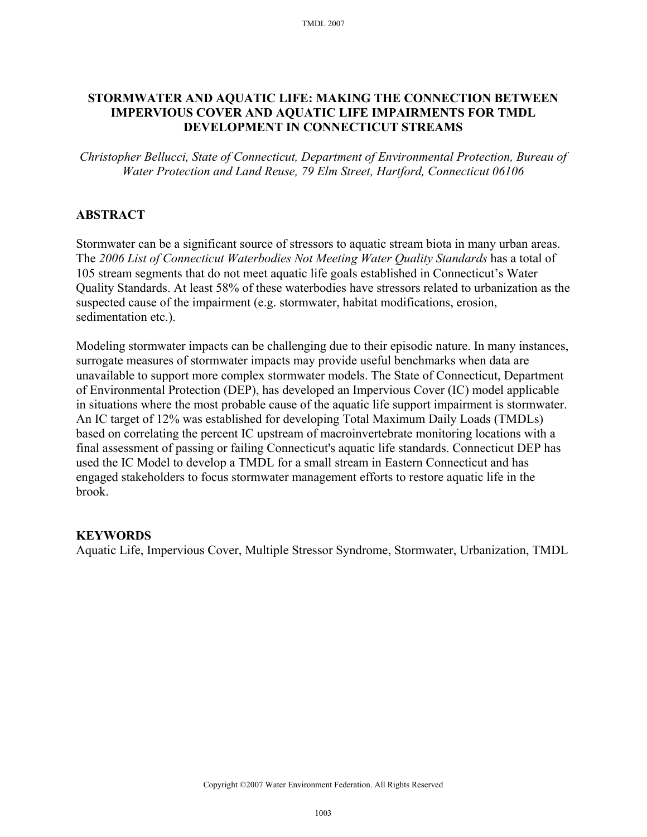# **STORMWATER AND AQUATIC LIFE: MAKING THE CONNECTION BETWEEN IMPERVIOUS COVER AND AQUATIC LIFE IMPAIRMENTS FOR TMDL DEVELOPMENT IN CONNECTICUT STREAMS**

*Christopher Bellucci, State of Connecticut, Department of Environmental Protection, Bureau of Water Protection and Land Reuse, 79 Elm Street, Hartford, Connecticut 06106*

# **ABSTRACT**

Stormwater can be a significant source of stressors to aquatic stream biota in many urban areas. The *2006 List of Connecticut Waterbodies Not Meeting Water Quality Standards* has a total of 105 stream segments that do not meet aquatic life goals established in Connecticut's Water Quality Standards. At least 58% of these waterbodies have stressors related to urbanization as the suspected cause of the impairment (e.g. stormwater, habitat modifications, erosion, sedimentation etc.).

Modeling stormwater impacts can be challenging due to their episodic nature. In many instances, surrogate measures of stormwater impacts may provide useful benchmarks when data are unavailable to support more complex stormwater models. The State of Connecticut, Department of Environmental Protection (DEP), has developed an Impervious Cover (IC) model applicable in situations where the most probable cause of the aquatic life support impairment is stormwater. An IC target of 12% was established for developing Total Maximum Daily Loads (TMDLs) based on correlating the percent IC upstream of macroinvertebrate monitoring locations with a final assessment of passing or failing Connecticut's aquatic life standards. Connecticut DEP has used the IC Model to develop a TMDL for a small stream in Eastern Connecticut and has engaged stakeholders to focus stormwater management efforts to restore aquatic life in the brook.

#### **KEYWORDS**

Aquatic Life, Impervious Cover, Multiple Stressor Syndrome, Stormwater, Urbanization, TMDL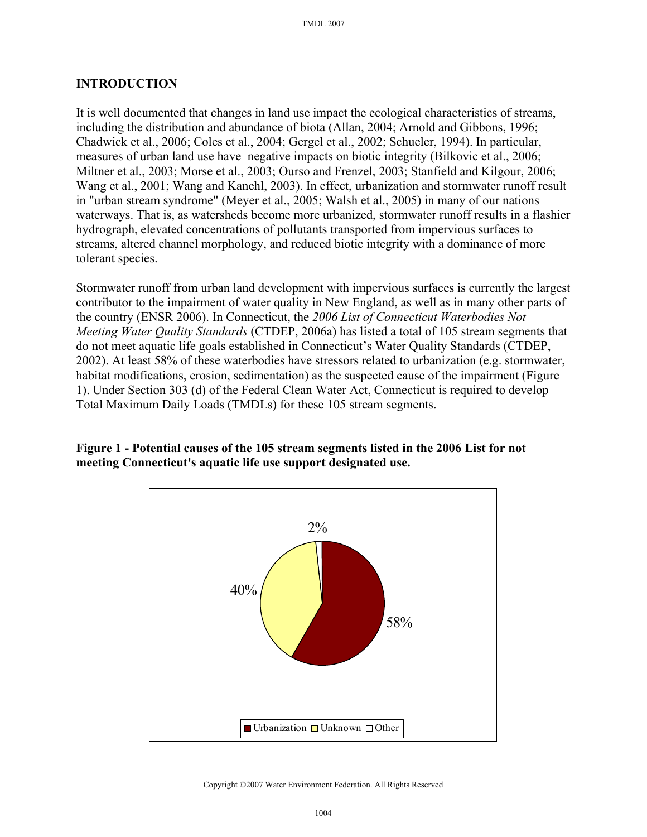# **INTRODUCTION**

It is well documented that changes in land use impact the ecological characteristics of streams, including the distribution and abundance of biota (Allan, 2004; Arnold and Gibbons, 1996; Chadwick et al., 2006; Coles et al., 2004; Gergel et al., 2002; Schueler, 1994). In particular, measures of urban land use have negative impacts on biotic integrity (Bilkovic et al., 2006; Miltner et al., 2003; Morse et al., 2003; Ourso and Frenzel, 2003; Stanfield and Kilgour, 2006; Wang et al., 2001; Wang and Kanehl, 2003). In effect, urbanization and stormwater runoff result in "urban stream syndrome" (Meyer et al., 2005; Walsh et al., 2005) in many of our nations waterways. That is, as watersheds become more urbanized, stormwater runoff results in a flashier hydrograph, elevated concentrations of pollutants transported from impervious surfaces to streams, altered channel morphology, and reduced biotic integrity with a dominance of more tolerant species.

Stormwater runoff from urban land development with impervious surfaces is currently the largest contributor to the impairment of water quality in New England, as well as in many other parts of the country (ENSR 2006). In Connecticut, the *2006 List of Connecticut Waterbodies Not Meeting Water Quality Standards* (CTDEP, 2006a) has listed a total of 105 stream segments that do not meet aquatic life goals established in Connecticut's Water Quality Standards (CTDEP, 2002). At least 58% of these waterbodies have stressors related to urbanization (e.g. stormwater, habitat modifications, erosion, sedimentation) as the suspected cause of the impairment (Figure 1). Under Section 303 (d) of the Federal Clean Water Act, Connecticut is required to develop Total Maximum Daily Loads (TMDLs) for these 105 stream segments.



**Figure 1 - Potential causes of the 105 stream segments listed in the 2006 List for not meeting Connecticut's aquatic life use support designated use.**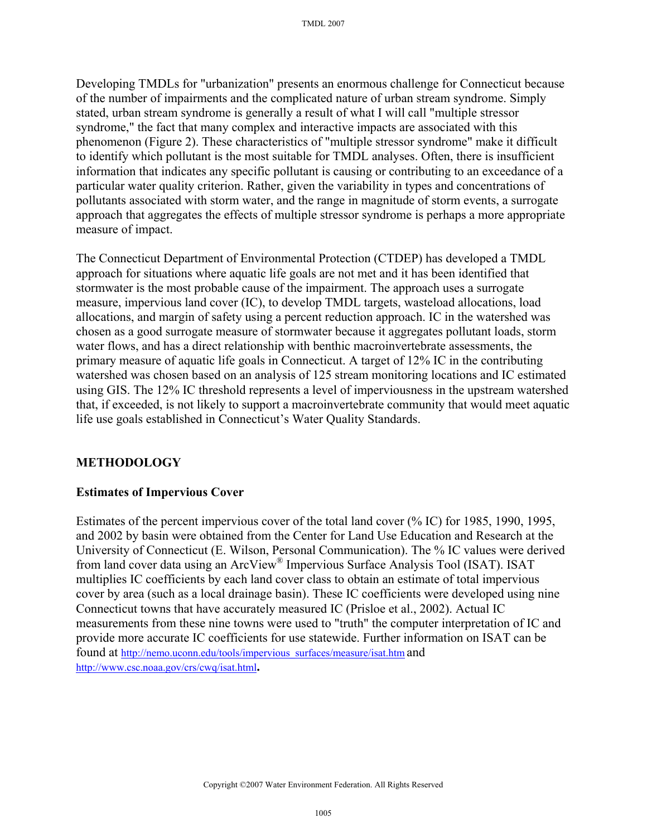Developing TMDLs for "urbanization" presents an enormous challenge for Connecticut because of the number of impairments and the complicated nature of urban stream syndrome. Simply stated, urban stream syndrome is generally a result of what I will call "multiple stressor syndrome," the fact that many complex and interactive impacts are associated with this phenomenon (Figure 2). These characteristics of "multiple stressor syndrome" make it difficult to identify which pollutant is the most suitable for TMDL analyses. Often, there is insufficient information that indicates any specific pollutant is causing or contributing to an exceedance of a particular water quality criterion. Rather, given the variability in types and concentrations of pollutants associated with storm water, and the range in magnitude of storm events, a surrogate approach that aggregates the effects of multiple stressor syndrome is perhaps a more appropriate measure of impact.

The Connecticut Department of Environmental Protection (CTDEP) has developed a TMDL approach for situations where aquatic life goals are not met and it has been identified that stormwater is the most probable cause of the impairment. The approach uses a surrogate measure, impervious land cover (IC), to develop TMDL targets, wasteload allocations, load allocations, and margin of safety using a percent reduction approach. IC in the watershed was chosen as a good surrogate measure of stormwater because it aggregates pollutant loads, storm water flows, and has a direct relationship with benthic macroinvertebrate assessments, the primary measure of aquatic life goals in Connecticut. A target of 12% IC in the contributing watershed was chosen based on an analysis of 125 stream monitoring locations and IC estimated using GIS. The 12% IC threshold represents a level of imperviousness in the upstream watershed that, if exceeded, is not likely to support a macroinvertebrate community that would meet aquatic life use goals established in Connecticut's Water Quality Standards.

### **METHODOLOGY**

#### **Estimates of Impervious Cover**

Estimates of the percent impervious cover of the total land cover (% IC) for 1985, 1990, 1995, and 2002 by basin were obtained from the Center for Land Use Education and Research at the University of Connecticut (E. Wilson, Personal Communication). The % IC values were derived from land cover data using an ArcView® Impervious Surface Analysis Tool (ISAT). ISAT multiplies IC coefficients by each land cover class to obtain an estimate of total impervious cover by area (such as a local drainage basin). These IC coefficients were developed using nine Connecticut towns that have accurately measured IC (Prisloe et al., 2002). Actual IC measurements from these nine towns were used to "truth" the computer interpretation of IC and provide more accurate IC coefficients for use statewide. Further information on ISAT can be found at http://nemo.uconn.edu/tools/impervious\_surfaces/measure/isat.htm and http://www.csc.noaa.gov/crs/cwq/isat.html**.**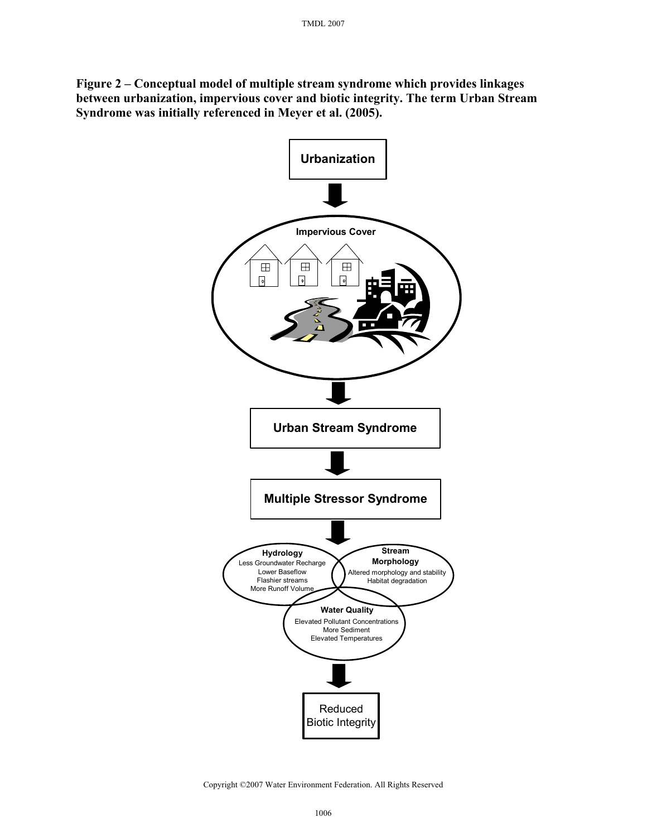**Figure 2 – Conceptual model of multiple stream syndrome which provides linkages between urbanization, impervious cover and biotic integrity. The term Urban Stream Syndrome was initially referenced in Meyer et al. (2005).** 

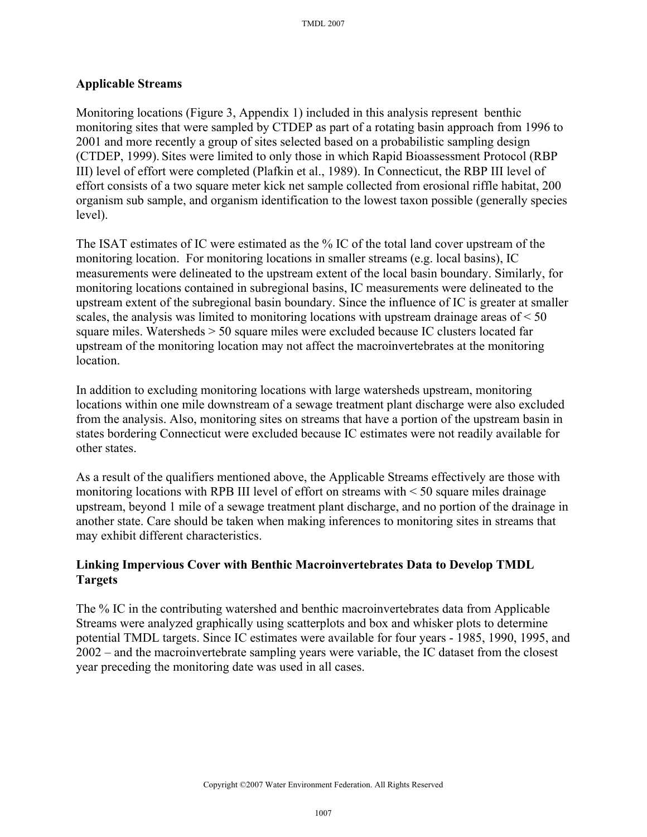### **Applicable Streams**

Monitoring locations (Figure 3, Appendix 1) included in this analysis represent benthic monitoring sites that were sampled by CTDEP as part of a rotating basin approach from 1996 to 2001 and more recently a group of sites selected based on a probabilistic sampling design (CTDEP, 1999). Sites were limited to only those in which Rapid Bioassessment Protocol (RBP III) level of effort were completed (Plafkin et al., 1989). In Connecticut, the RBP III level of effort consists of a two square meter kick net sample collected from erosional riffle habitat, 200 organism sub sample, and organism identification to the lowest taxon possible (generally species level).

The ISAT estimates of IC were estimated as the % IC of the total land cover upstream of the monitoring location. For monitoring locations in smaller streams (e.g. local basins), IC measurements were delineated to the upstream extent of the local basin boundary. Similarly, for monitoring locations contained in subregional basins, IC measurements were delineated to the upstream extent of the subregional basin boundary. Since the influence of IC is greater at smaller scales, the analysis was limited to monitoring locations with upstream drainage areas of  $\leq 50$ square miles. Watersheds > 50 square miles were excluded because IC clusters located far upstream of the monitoring location may not affect the macroinvertebrates at the monitoring location.

In addition to excluding monitoring locations with large watersheds upstream, monitoring locations within one mile downstream of a sewage treatment plant discharge were also excluded from the analysis. Also, monitoring sites on streams that have a portion of the upstream basin in states bordering Connecticut were excluded because IC estimates were not readily available for other states.

As a result of the qualifiers mentioned above, the Applicable Streams effectively are those with monitoring locations with RPB III level of effort on streams with  $\leq 50$  square miles drainage upstream, beyond 1 mile of a sewage treatment plant discharge, and no portion of the drainage in another state. Care should be taken when making inferences to monitoring sites in streams that may exhibit different characteristics.

# **Linking Impervious Cover with Benthic Macroinvertebrates Data to Develop TMDL Targets**

The % IC in the contributing watershed and benthic macroinvertebrates data from Applicable Streams were analyzed graphically using scatterplots and box and whisker plots to determine potential TMDL targets. Since IC estimates were available for four years - 1985, 1990, 1995, and 2002 – and the macroinvertebrate sampling years were variable, the IC dataset from the closest year preceding the monitoring date was used in all cases.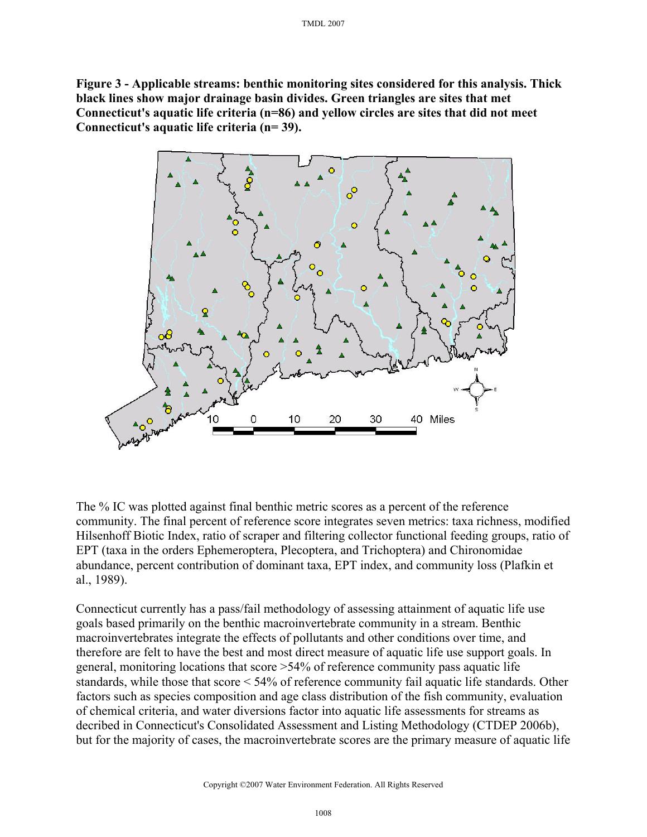**Figure 3 - Applicable streams: benthic monitoring sites considered for this analysis. Thick black lines show major drainage basin divides. Green triangles are sites that met Connecticut's aquatic life criteria (n=86) and yellow circles are sites that did not meet Connecticut's aquatic life criteria (n= 39).** 



The % IC was plotted against final benthic metric scores as a percent of the reference community. The final percent of reference score integrates seven metrics: taxa richness, modified Hilsenhoff Biotic Index, ratio of scraper and filtering collector functional feeding groups, ratio of EPT (taxa in the orders Ephemeroptera, Plecoptera, and Trichoptera) and Chironomidae abundance, percent contribution of dominant taxa, EPT index, and community loss (Plafkin et al., 1989).

Connecticut currently has a pass/fail methodology of assessing attainment of aquatic life use goals based primarily on the benthic macroinvertebrate community in a stream. Benthic macroinvertebrates integrate the effects of pollutants and other conditions over time, and therefore are felt to have the best and most direct measure of aquatic life use support goals. In general, monitoring locations that score >54% of reference community pass aquatic life standards, while those that score < 54% of reference community fail aquatic life standards. Other factors such as species composition and age class distribution of the fish community, evaluation of chemical criteria, and water diversions factor into aquatic life assessments for streams as decribed in Connecticut's Consolidated Assessment and Listing Methodology (CTDEP 2006b), but for the majority of cases, the macroinvertebrate scores are the primary measure of aquatic life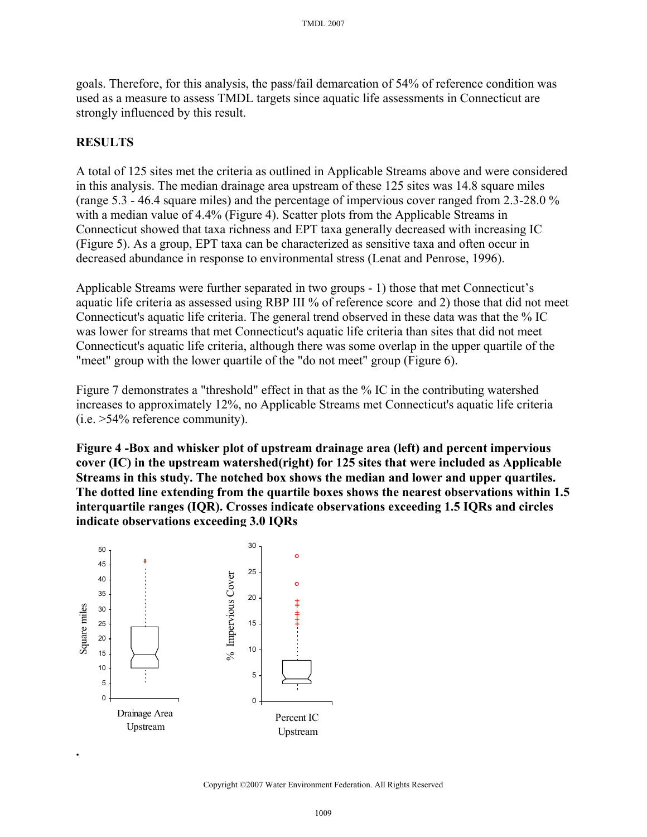goals. Therefore, for this analysis, the pass/fail demarcation of 54% of reference condition was used as a measure to assess TMDL targets since aquatic life assessments in Connecticut are strongly influenced by this result.

# **RESULTS**

A total of 125 sites met the criteria as outlined in Applicable Streams above and were considered in this analysis. The median drainage area upstream of these 125 sites was 14.8 square miles (range 5.3 - 46.4 square miles) and the percentage of impervious cover ranged from 2.3-28.0 % with a median value of 4.4% (Figure 4). Scatter plots from the Applicable Streams in Connecticut showed that taxa richness and EPT taxa generally decreased with increasing IC (Figure 5). As a group, EPT taxa can be characterized as sensitive taxa and often occur in decreased abundance in response to environmental stress (Lenat and Penrose, 1996).

Applicable Streams were further separated in two groups - 1) those that met Connecticut's aquatic life criteria as assessed using RBP III % of reference score and 2) those that did not meet Connecticut's aquatic life criteria. The general trend observed in these data was that the % IC was lower for streams that met Connecticut's aquatic life criteria than sites that did not meet Connecticut's aquatic life criteria, although there was some overlap in the upper quartile of the "meet" group with the lower quartile of the "do not meet" group (Figure 6).

Figure 7 demonstrates a "threshold" effect in that as the % IC in the contributing watershed increases to approximately 12%, no Applicable Streams met Connecticut's aquatic life criteria (i.e. >54% reference community).

**Figure 4 -Box and whisker plot of upstream drainage area (left) and percent impervious cover (IC) in the upstream watershed(right) for 125 sites that were included as Applicable Streams in this study. The notched box shows the median and lower and upper quartiles. The dotted line extending from the quartile boxes shows the nearest observations within 1.5 interquartile ranges (IQR). Crosses indicate observations exceeding 1.5 IQRs and circles indicate observations exceeding 3.0 IQRs**

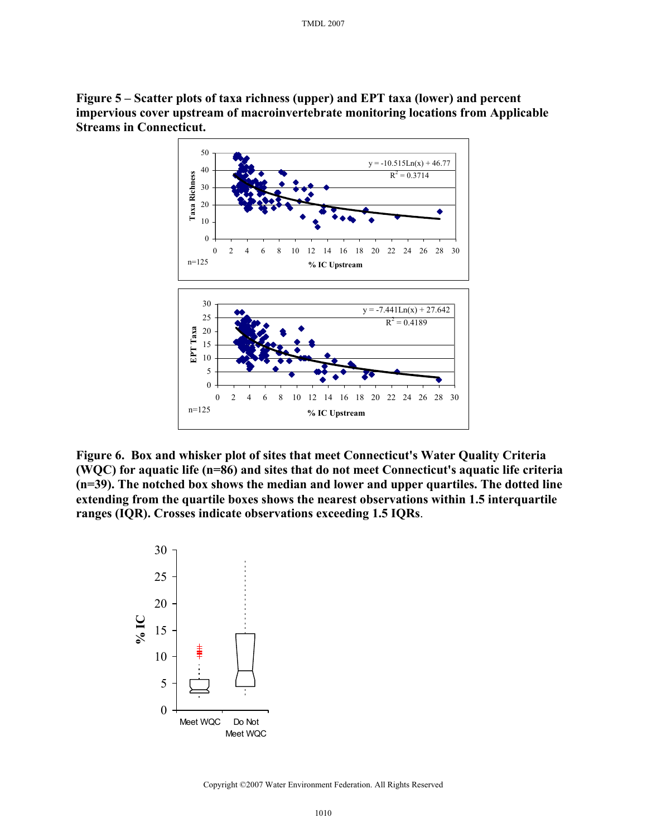



**Figure 6. Box and whisker plot of sites that meet Connecticut's Water Quality Criteria (WQC) for aquatic life (n=86) and sites that do not meet Connecticut's aquatic life criteria (n=39). The notched box shows the median and lower and upper quartiles. The dotted line extending from the quartile boxes shows the nearest observations within 1.5 interquartile ranges (IQR). Crosses indicate observations exceeding 1.5 IQRs**.

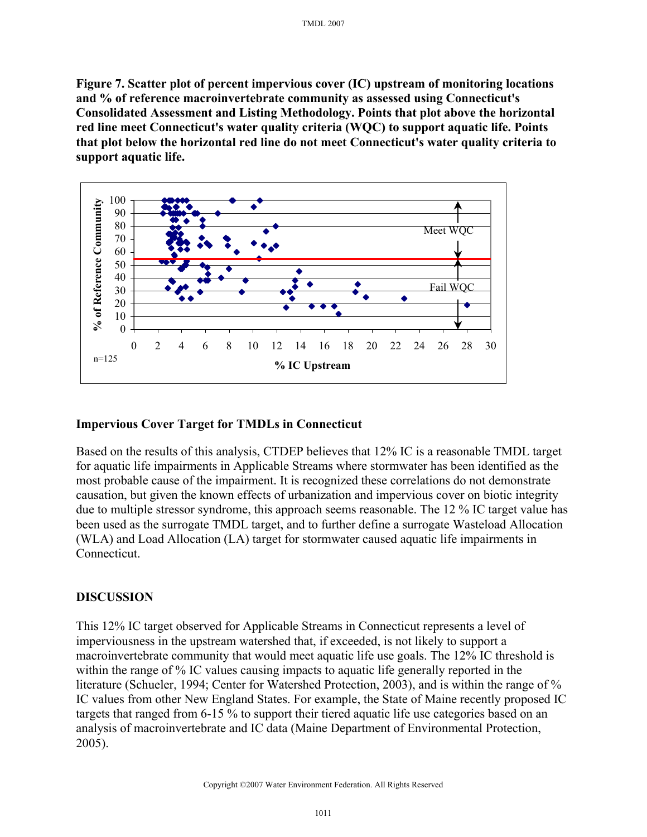**Figure 7. Scatter plot of percent impervious cover (IC) upstream of monitoring locations and % of reference macroinvertebrate community as assessed using Connecticut's Consolidated Assessment and Listing Methodology. Points that plot above the horizontal red line meet Connecticut's water quality criteria (WQC) to support aquatic life. Points that plot below the horizontal red line do not meet Connecticut's water quality criteria to support aquatic life.** 



### **Impervious Cover Target for TMDLs in Connecticut**

Based on the results of this analysis, CTDEP believes that 12% IC is a reasonable TMDL target for aquatic life impairments in Applicable Streams where stormwater has been identified as the most probable cause of the impairment. It is recognized these correlations do not demonstrate causation, but given the known effects of urbanization and impervious cover on biotic integrity due to multiple stressor syndrome, this approach seems reasonable. The 12 % IC target value has been used as the surrogate TMDL target, and to further define a surrogate Wasteload Allocation (WLA) and Load Allocation (LA) target for stormwater caused aquatic life impairments in Connecticut.

### **DISCUSSION**

This 12% IC target observed for Applicable Streams in Connecticut represents a level of imperviousness in the upstream watershed that, if exceeded, is not likely to support a macroinvertebrate community that would meet aquatic life use goals. The 12% IC threshold is within the range of % IC values causing impacts to aquatic life generally reported in the literature (Schueler, 1994; Center for Watershed Protection, 2003), and is within the range of % IC values from other New England States. For example, the State of Maine recently proposed IC targets that ranged from 6-15 % to support their tiered aquatic life use categories based on an analysis of macroinvertebrate and IC data (Maine Department of Environmental Protection, 2005).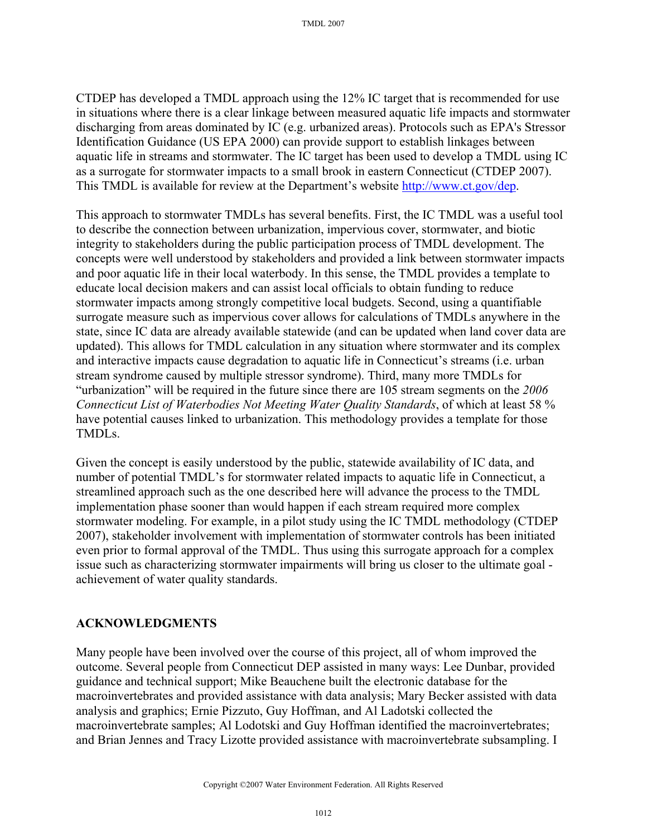CTDEP has developed a TMDL approach using the 12% IC target that is recommended for use in situations where there is a clear linkage between measured aquatic life impacts and stormwater discharging from areas dominated by IC (e.g. urbanized areas). Protocols such as EPA's Stressor Identification Guidance (US EPA 2000) can provide support to establish linkages between aquatic life in streams and stormwater. The IC target has been used to develop a TMDL using IC as a surrogate for stormwater impacts to a small brook in eastern Connecticut (CTDEP 2007). This TMDL is available for review at the Department's website http://www.ct.gov/dep.

This approach to stormwater TMDLs has several benefits. First, the IC TMDL was a useful tool to describe the connection between urbanization, impervious cover, stormwater, and biotic integrity to stakeholders during the public participation process of TMDL development. The concepts were well understood by stakeholders and provided a link between stormwater impacts and poor aquatic life in their local waterbody. In this sense, the TMDL provides a template to educate local decision makers and can assist local officials to obtain funding to reduce stormwater impacts among strongly competitive local budgets. Second, using a quantifiable surrogate measure such as impervious cover allows for calculations of TMDLs anywhere in the state, since IC data are already available statewide (and can be updated when land cover data are updated). This allows for TMDL calculation in any situation where stormwater and its complex and interactive impacts cause degradation to aquatic life in Connecticut's streams (i.e. urban stream syndrome caused by multiple stressor syndrome). Third, many more TMDLs for "urbanization" will be required in the future since there are 105 stream segments on the *2006 Connecticut List of Waterbodies Not Meeting Water Quality Standards*, of which at least 58 % have potential causes linked to urbanization. This methodology provides a template for those TMDLs.

Given the concept is easily understood by the public, statewide availability of IC data, and number of potential TMDL's for stormwater related impacts to aquatic life in Connecticut, a streamlined approach such as the one described here will advance the process to the TMDL implementation phase sooner than would happen if each stream required more complex stormwater modeling. For example, in a pilot study using the IC TMDL methodology (CTDEP 2007), stakeholder involvement with implementation of stormwater controls has been initiated even prior to formal approval of the TMDL. Thus using this surrogate approach for a complex issue such as characterizing stormwater impairments will bring us closer to the ultimate goal achievement of water quality standards.

### **ACKNOWLEDGMENTS**

Many people have been involved over the course of this project, all of whom improved the outcome. Several people from Connecticut DEP assisted in many ways: Lee Dunbar, provided guidance and technical support; Mike Beauchene built the electronic database for the macroinvertebrates and provided assistance with data analysis; Mary Becker assisted with data analysis and graphics; Ernie Pizzuto, Guy Hoffman, and Al Ladotski collected the macroinvertebrate samples; Al Lodotski and Guy Hoffman identified the macroinvertebrates; and Brian Jennes and Tracy Lizotte provided assistance with macroinvertebrate subsampling. I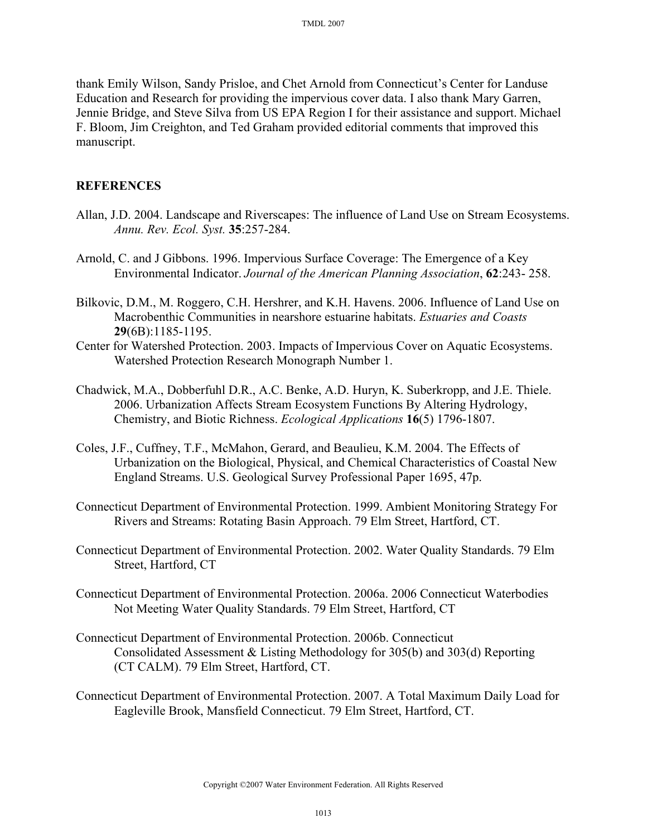thank Emily Wilson, Sandy Prisloe, and Chet Arnold from Connecticut's Center for Landuse Education and Research for providing the impervious cover data. I also thank Mary Garren, Jennie Bridge, and Steve Silva from US EPA Region I for their assistance and support. Michael F. Bloom, Jim Creighton, and Ted Graham provided editorial comments that improved this manuscript.

#### **REFERENCES**

- Allan, J.D. 2004. Landscape and Riverscapes: The influence of Land Use on Stream Ecosystems. *Annu. Rev. Ecol. Syst.* **35**:257-284.
- Arnold, C. and J Gibbons. 1996. Impervious Surface Coverage: The Emergence of a Key Environmental Indicator. *Journal of the American Planning Association*, **62**:243- 258.
- Bilkovic, D.M., M. Roggero, C.H. Hershrer, and K.H. Havens. 2006. Influence of Land Use on Macrobenthic Communities in nearshore estuarine habitats. *Estuaries and Coasts* **29**(6B):1185-1195.
- Center for Watershed Protection. 2003. Impacts of Impervious Cover on Aquatic Ecosystems. Watershed Protection Research Monograph Number 1.
- Chadwick, M.A., Dobberfuhl D.R., A.C. Benke, A.D. Huryn, K. Suberkropp, and J.E. Thiele. 2006. Urbanization Affects Stream Ecosystem Functions By Altering Hydrology, Chemistry, and Biotic Richness. *Ecological Applications* **16**(5) 1796-1807.
- Coles, J.F., Cuffney, T.F., McMahon, Gerard, and Beaulieu, K.M. 2004. The Effects of Urbanization on the Biological, Physical, and Chemical Characteristics of Coastal New England Streams. U.S. Geological Survey Professional Paper 1695, 47p.
- Connecticut Department of Environmental Protection. 1999. Ambient Monitoring Strategy For Rivers and Streams: Rotating Basin Approach. 79 Elm Street, Hartford, CT.
- Connecticut Department of Environmental Protection. 2002. Water Quality Standards. 79 Elm Street, Hartford, CT
- Connecticut Department of Environmental Protection. 2006a. 2006 Connecticut Waterbodies Not Meeting Water Quality Standards. 79 Elm Street, Hartford, CT
- Connecticut Department of Environmental Protection. 2006b. Connecticut Consolidated Assessment & Listing Methodology for 305(b) and 303(d) Reporting (CT CALM). 79 Elm Street, Hartford, CT.
- Connecticut Department of Environmental Protection. 2007. A Total Maximum Daily Load for Eagleville Brook, Mansfield Connecticut. 79 Elm Street, Hartford, CT.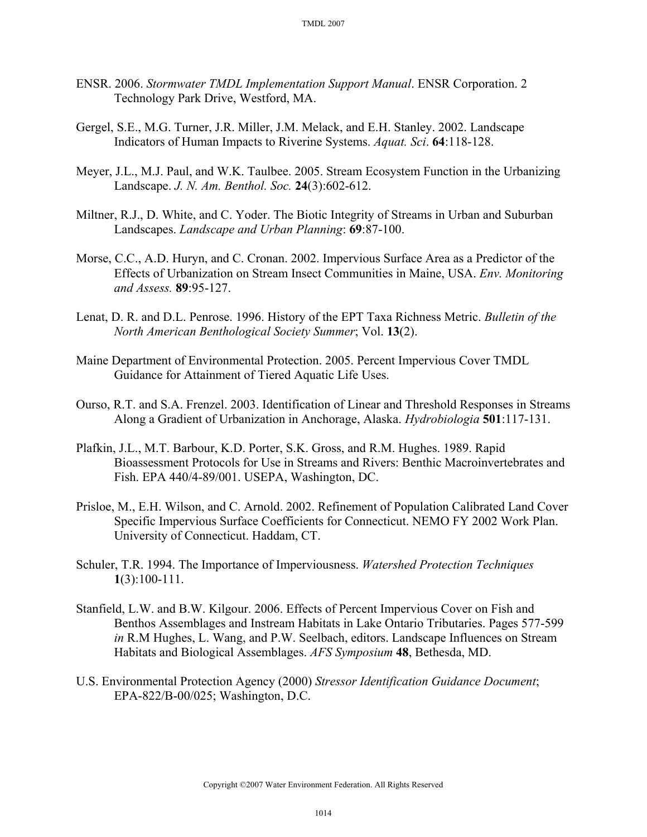- ENSR. 2006. *Stormwater TMDL Implementation Support Manual*. ENSR Corporation. 2 Technology Park Drive, Westford, MA.
- Gergel, S.E., M.G. Turner, J.R. Miller, J.M. Melack, and E.H. Stanley. 2002. Landscape Indicators of Human Impacts to Riverine Systems. *Aquat. Sci*. **64**:118-128.
- Meyer, J.L., M.J. Paul, and W.K. Taulbee. 2005. Stream Ecosystem Function in the Urbanizing Landscape. *J. N. Am. Benthol. Soc.* **24**(3):602-612.
- Miltner, R.J., D. White, and C. Yoder. The Biotic Integrity of Streams in Urban and Suburban Landscapes. *Landscape and Urban Planning*: **69**:87-100.
- Morse, C.C., A.D. Huryn, and C. Cronan. 2002. Impervious Surface Area as a Predictor of the Effects of Urbanization on Stream Insect Communities in Maine, USA. *Env. Monitoring and Assess.* **89**:95-127.
- Lenat, D. R. and D.L. Penrose. 1996. History of the EPT Taxa Richness Metric. *Bulletin of the North American Benthological Society Summer*; Vol. **13**(2).
- Maine Department of Environmental Protection. 2005. Percent Impervious Cover TMDL Guidance for Attainment of Tiered Aquatic Life Uses.
- Ourso, R.T. and S.A. Frenzel. 2003. Identification of Linear and Threshold Responses in Streams Along a Gradient of Urbanization in Anchorage, Alaska. *Hydrobiologia* **501**:117-131.
- Plafkin, J.L., M.T. Barbour, K.D. Porter, S.K. Gross, and R.M. Hughes. 1989. Rapid Bioassessment Protocols for Use in Streams and Rivers: Benthic Macroinvertebrates and Fish. EPA 440/4-89/001. USEPA, Washington, DC.
- Prisloe, M., E.H. Wilson, and C. Arnold. 2002. Refinement of Population Calibrated Land Cover Specific Impervious Surface Coefficients for Connecticut. NEMO FY 2002 Work Plan. University of Connecticut. Haddam, CT.
- Schuler, T.R. 1994. The Importance of Imperviousness. *Watershed Protection Techniques* **1**(3):100-111.
- Stanfield, L.W. and B.W. Kilgour. 2006. Effects of Percent Impervious Cover on Fish and Benthos Assemblages and Instream Habitats in Lake Ontario Tributaries. Pages 577-599 *in* R.M Hughes, L. Wang, and P.W. Seelbach, editors. Landscape Influences on Stream Habitats and Biological Assemblages. *AFS Symposium* **48**, Bethesda, MD.
- U.S. Environmental Protection Agency (2000) *Stressor Identification Guidance Document*; EPA-822/B-00/025; Washington, D.C.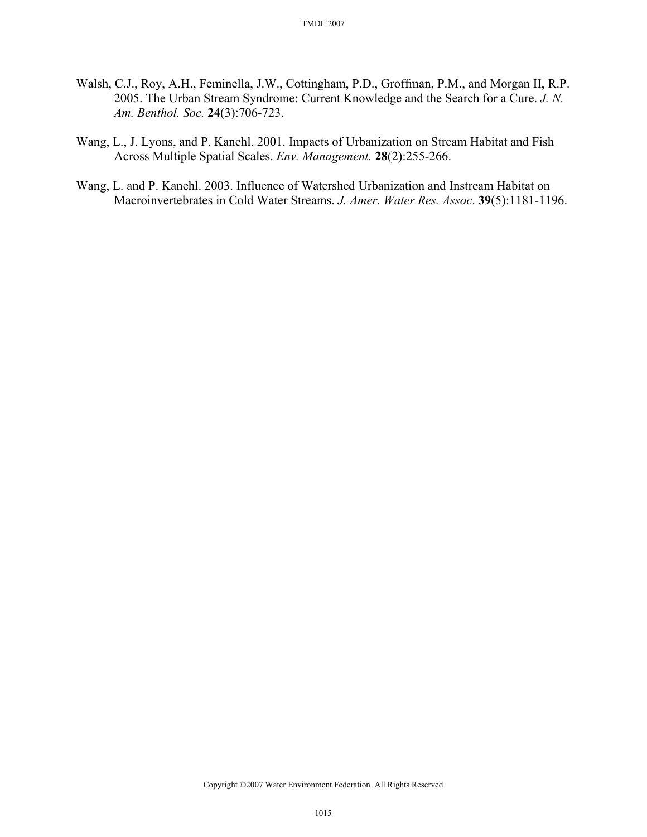- Walsh, C.J., Roy, A.H., Feminella, J.W., Cottingham, P.D., Groffman, P.M., and Morgan II, R.P. 2005. The Urban Stream Syndrome: Current Knowledge and the Search for a Cure. *J. N. Am. Benthol. Soc.* **24**(3):706-723.
- Wang, L., J. Lyons, and P. Kanehl. 2001. Impacts of Urbanization on Stream Habitat and Fish Across Multiple Spatial Scales. *Env. Management.* **28**(2):255-266.
- Wang, L. and P. Kanehl. 2003. Influence of Watershed Urbanization and Instream Habitat on Macroinvertebrates in Cold Water Streams. *J. Amer. Water Res. Assoc*. **39**(5):1181-1196.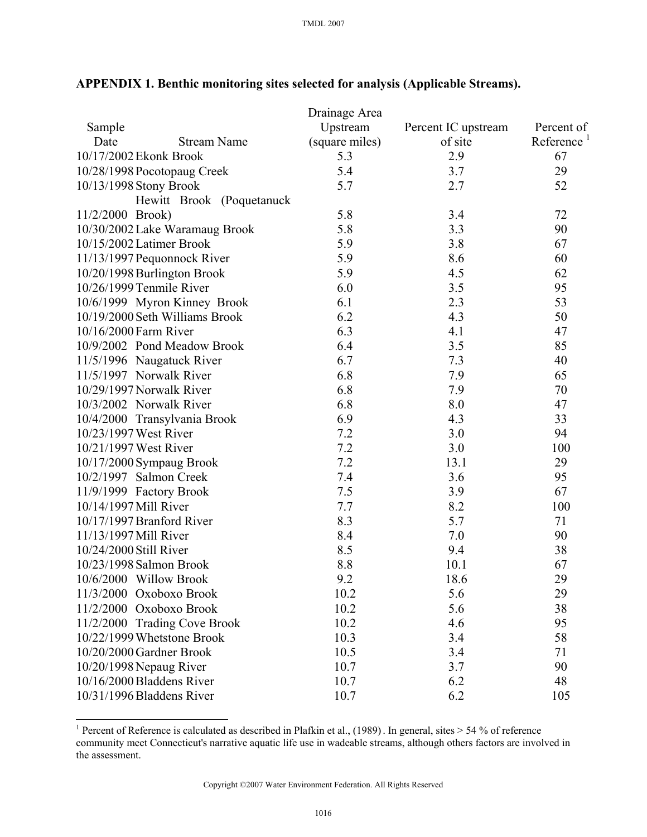|                                | Drainage Area  |                     |                        |
|--------------------------------|----------------|---------------------|------------------------|
| Sample                         | Upstream       | Percent IC upstream | Percent of             |
| <b>Stream Name</b><br>Date     | (square miles) | of site             | Reference <sup>1</sup> |
| 10/17/2002 Ekonk Brook         | 5.3            | 2.9                 | 67                     |
| 10/28/1998 Pocotopaug Creek    | 5.4            | 3.7                 | 29                     |
| 10/13/1998 Stony Brook         | 5.7            | 2.7                 | 52                     |
| Hewitt Brook (Poquetanuck      |                |                     |                        |
| 11/2/2000 Brook)               | 5.8            | 3.4                 | 72                     |
| 10/30/2002 Lake Waramaug Brook | 5.8            | 3.3                 | 90                     |
| 10/15/2002 Latimer Brook       | 5.9            | 3.8                 | 67                     |
| 11/13/1997 Pequonnock River    | 5.9            | 8.6                 | 60                     |
| 10/20/1998 Burlington Brook    | 5.9            | 4.5                 | 62                     |
| 10/26/1999 Tenmile River       | 6.0            | 3.5                 | 95                     |
| 10/6/1999 Myron Kinney Brook   | 6.1            | 2.3                 | 53                     |
| 10/19/2000 Seth Williams Brook | 6.2            | 4.3                 | 50                     |
| 10/16/2000 Farm River          | 6.3            | 4.1                 | 47                     |
| 10/9/2002 Pond Meadow Brook    | 6.4            | 3.5                 | 85                     |
| 11/5/1996 Naugatuck River      | 6.7            | 7.3                 | 40                     |
| 11/5/1997 Norwalk River        | 6.8            | 7.9                 | 65                     |
| 10/29/1997 Norwalk River       | 6.8            | 7.9                 | 70                     |
| 10/3/2002 Norwalk River        | 6.8            | 8.0                 | 47                     |
| 10/4/2000 Transylvania Brook   | 6.9            | 4.3                 | 33                     |
| 10/23/1997 West River          | 7.2            | 3.0                 | 94                     |
| 10/21/1997 West River          | 7.2            | 3.0                 | 100                    |
| 10/17/2000 Sympaug Brook       | 7.2            | 13.1                | 29                     |
| 10/2/1997 Salmon Creek         | 7.4            | 3.6                 | 95                     |
| 11/9/1999 Factory Brook        | 7.5            | 3.9                 | 67                     |
| 10/14/1997 Mill River          | 7.7            | 8.2                 | 100                    |
| 10/17/1997 Branford River      | 8.3            | 5.7                 | 71                     |
| 11/13/1997 Mill River          | 8.4            | 7.0                 | 90                     |
| 10/24/2000 Still River         | 8.5            | 9.4                 | 38                     |
| 10/23/1998 Salmon Brook        | 8.8            | 10.1                | 67                     |
| 10/6/2000 Willow Brook         | 9.2            | 18.6                | 29                     |
| 11/3/2000<br>Oxoboxo Brook     | 10.2           | 5.6                 | 29                     |
| 11/2/2000 Oxoboxo Brook        | 10.2           | 5.6                 | 38                     |
| 11/2/2000 Trading Cove Brook   | 10.2           | 4.6                 | 95                     |
| 10/22/1999 Whetstone Brook     | 10.3           | 3.4                 | 58                     |
| 10/20/2000 Gardner Brook       | 10.5           | 3.4                 | 71                     |
| 10/20/1998 Nepaug River        | 10.7           | 3.7                 | 90                     |
| 10/16/2000 Bladdens River      | 10.7           | 6.2                 | 48                     |
| 10/31/1996 Bladdens River      | 10.7           | 6.2                 | 105                    |
|                                |                |                     |                        |

# **APPENDIX 1. Benthic monitoring sites selected for analysis (Applicable Streams).**

<sup>&</sup>lt;sup>1</sup> Percent of Reference is calculated as described in Plafkin et al., (1989). In general, sites > 54 % of reference community meet Connecticut's narrative aquatic life use in wadeable streams, although others factors are involved in the assessment.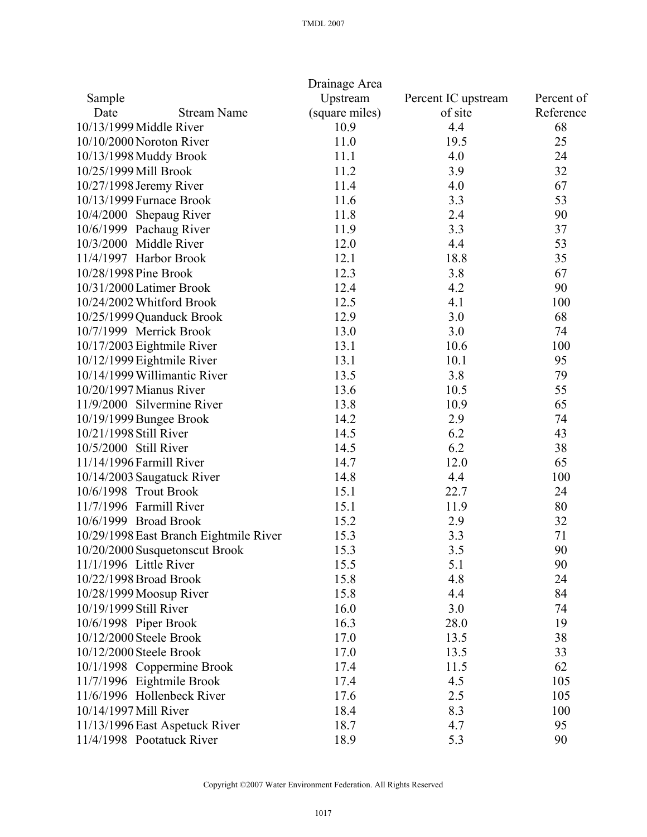|                                |                                        | Drainage Area  |                     |            |
|--------------------------------|----------------------------------------|----------------|---------------------|------------|
| Sample                         |                                        | Upstream       | Percent IC upstream | Percent of |
| Date                           | <b>Stream Name</b>                     | (square miles) | of site             | Reference  |
| 10/13/1999 Middle River        |                                        | 10.9           | 4.4                 | 68         |
| 10/10/2000 Noroton River       |                                        | 11.0           | 19.5                | 25         |
| 10/13/1998 Muddy Brook         |                                        | 11.1           | 4.0                 | 24         |
| 10/25/1999 Mill Brook          |                                        | 11.2           | 3.9                 | 32         |
| 10/27/1998 Jeremy River        |                                        | 11.4           | 4.0                 | 67         |
| 10/13/1999 Furnace Brook       |                                        | 11.6           | 3.3                 | 53         |
| 10/4/2000 Shepaug River        |                                        | 11.8           | 2.4                 | 90         |
| 10/6/1999 Pachaug River        |                                        | 11.9           | 3.3                 | 37         |
| 10/3/2000 Middle River         |                                        | 12.0           | 4.4                 | 53         |
| 11/4/1997 Harbor Brook         |                                        | 12.1           | 18.8                | 35         |
| 10/28/1998 Pine Brook          |                                        | 12.3           | 3.8                 | 67         |
| 10/31/2000 Latimer Brook       |                                        | 12.4           | 4.2                 | 90         |
| 10/24/2002 Whitford Brook      |                                        | 12.5           | 4.1                 | 100        |
| 10/25/1999 Quanduck Brook      |                                        | 12.9           | 3.0                 | 68         |
| 10/7/1999 Merrick Brook        |                                        | 13.0           | 3.0                 | 74         |
| 10/17/2003 Eightmile River     |                                        | 13.1           | 10.6                | 100        |
| 10/12/1999 Eightmile River     |                                        | 13.1           | 10.1                | 95         |
| 10/14/1999 Willimantic River   |                                        | 13.5           | 3.8                 | 79         |
| 10/20/1997 Mianus River        |                                        | 13.6           | 10.5                | 55         |
| 11/9/2000 Silvermine River     |                                        | 13.8           | 10.9                | 65         |
| 10/19/1999 Bungee Brook        |                                        | 14.2           | 2.9                 | 74         |
| 10/21/1998 Still River         |                                        | 14.5           | 6.2                 | 43         |
| 10/5/2000 Still River          |                                        | 14.5           | 6.2                 | 38         |
| 11/14/1996 Farmill River       |                                        | 14.7           | 12.0                | 65         |
| 10/14/2003 Saugatuck River     |                                        | 14.8           | 4.4                 | 100        |
| 10/6/1998 Trout Brook          |                                        | 15.1           | 22.7                | 24         |
| 11/7/1996 Farmill River        |                                        | 15.1           | 11.9                | 80         |
| 10/6/1999 Broad Brook          |                                        | 15.2           | 2.9                 | 32         |
|                                | 10/29/1998 East Branch Eightmile River | 15.3           | 3.3                 | 71         |
|                                | 10/20/2000 Susquetonscut Brook         | 15.3           | 3.5                 | 90         |
| 11/1/1996 Little River         |                                        | 15.5           | 5.1                 | 90         |
| 10/22/1998 Broad Brook         |                                        | 15.8           | 4.8                 | 24         |
| $10/28/1999$ Moosup River      |                                        | 15.8           | 4.4                 | 84         |
| 10/19/1999 Still River         |                                        | 16.0           | 3.0                 | 74         |
| 10/6/1998 Piper Brook          |                                        | 16.3           | 28.0                | 19         |
| 10/12/2000 Steele Brook        |                                        | 17.0           | 13.5                | 38         |
| 10/12/2000 Steele Brook        |                                        | 17.0           | 13.5                | 33         |
| 10/1/1998 Coppermine Brook     |                                        | 17.4           | 11.5                | 62         |
| 11/7/1996 Eightmile Brook      |                                        | 17.4           | 4.5                 | 105        |
| 11/6/1996 Hollenbeck River     |                                        | 17.6           | 2.5                 | 105        |
| 10/14/1997 Mill River          |                                        | 18.4           | 8.3                 | 100        |
| 11/13/1996 East Aspetuck River |                                        | 18.7           | 4.7                 | 95         |
| 11/4/1998 Pootatuck River      |                                        | 18.9           | 5.3                 | 90         |
|                                |                                        |                |                     |            |